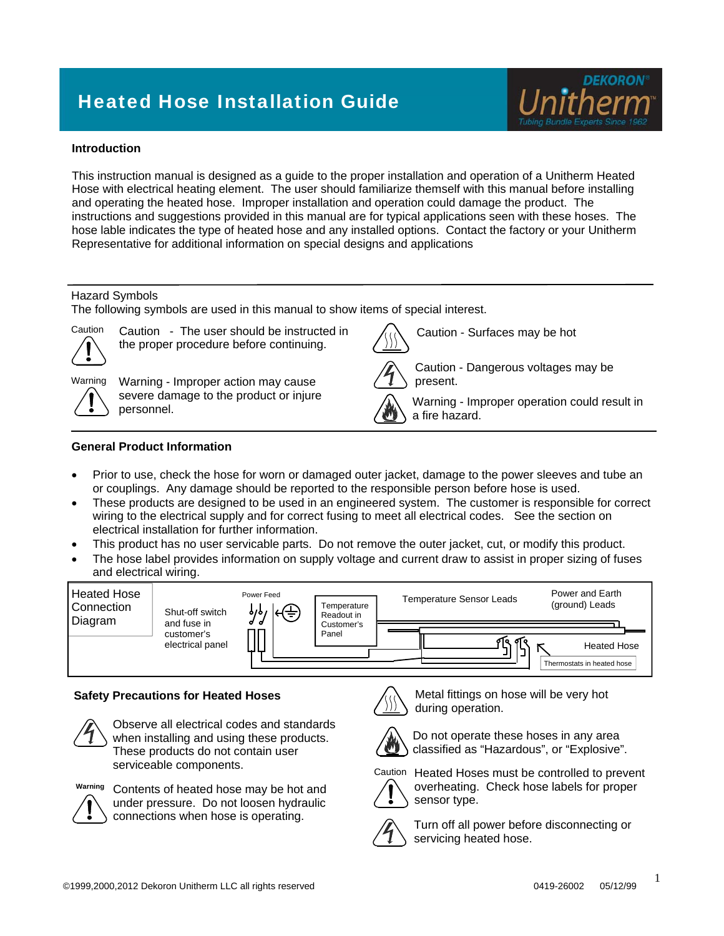# Heated Hose Installation Guide



#### **Introduction**

This instruction manual is designed as a guide to the proper installation and operation of a Unitherm Heated Hose with electrical heating element. The user should familiarize themself with this manual before installing and operating the heated hose. Improper installation and operation could damage the product. The instructions and suggestions provided in this manual are for typical applications seen with these hoses. The hose lable indicates the type of heated hose and any installed options. Contact the factory or your Unitherm Representative for additional information on special designs and applications

#### Hazard Symbols

The following symbols are used in this manual to show items of special interest.



Caution - The user should be instructed in the proper procedure before continuing.



Warning Warning - Improper action may cause severe damage to the product or injure personnel.



Caution - Dangerous voltages may be present.

Caution - Surfaces may be hot

Warning - Improper operation could result in a fire hazard.

#### **General Product Information**

- Prior to use, check the hose for worn or damaged outer jacket, damage to the power sleeves and tube an or couplings. Any damage should be reported to the responsible person before hose is used.
- These products are designed to be used in an engineered system. The customer is responsible for correct wiring to the electrical supply and for correct fusing to meet all electrical codes. See the section on electrical installation for further information.
- This product has no user servicable parts. Do not remove the outer jacket, cut, or modify this product.
- The hose label provides information on supply voltage and current draw to assist in proper sizing of fuses and electrical wiring.



#### **Safety Precautions for Heated Hoses**



Observe all electrical codes and standards when installing and using these products. These products do not contain user serviceable components.



Contents of heated hose may be hot and **Warning** under pressure. Do not loosen hydraulic connections when hose is operating.



Metal fittings on hose will be very hot during operation.



Do not operate these hoses in any area classified as "Hazardous", or "Explosive".

Caution Heated Hoses must be controlled to prevent



overheating. Check hose labels for proper sensor type.

Turn off all power before disconnecting or servicing heated hose.

1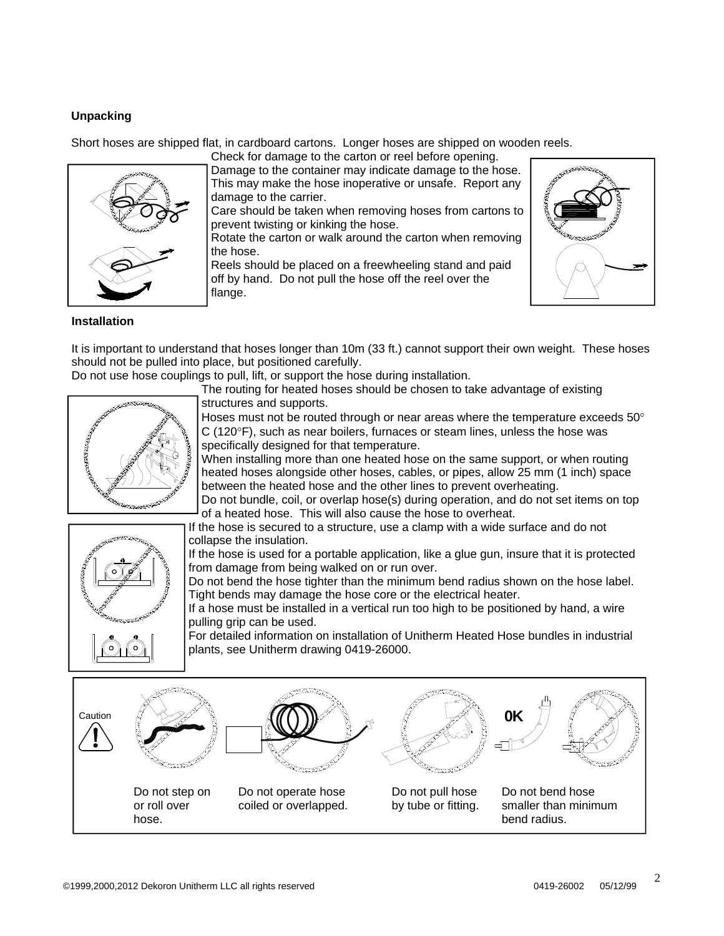## **Unpacking**

Short hoses are shipped flat, in cardboard cartons. Longer hoses are shipped on wooden reels.



Check for damage to the carton or reel before opening. Damage to the container may indicate damage to the hose. This may make the hose inoperative or unsafe. Report any damage to the carrier.

Care should be taken when removing hoses from cartons to prevent twisting or kinking the hose.

Rotate the carton or walk around the carton when removing the hose.

Reels should be placed on a freewheeling stand and paid off by hand. Do not pull the hose off the reel over the flange.



### **Installation**

It is important to understand that hoses longer than 10m (33 ft.) cannot support their own weight. These hoses should not be pulled into place, but positioned carefully.

Do not use hose couplings to pull, lift, or support the hose during installation.

The routing for heated hoses should be chosen to take advantage of existing structures and supports.



Hoses must not be routed through or near areas where the temperature exceeds  $50^{\circ}$  $C$  (120 $\textdegree$ F), such as near boilers, furnaces or steam lines, unless the hose was specifically designed for that temperature.

When installing more than one heated hose on the same support, or when routing heated hoses alongside other hoses, cables, or pipes, allow 25 mm (1 inch) space between the heated hose and the other lines to prevent overheating.

Do not bundle, coil, or overlap hose(s) during operation, and do not set items on top of a heated hose. This will also cause the hose to overheat.

If the hose is secured to a structure, use a clamp with a wide surface and do not collapse the insulation.

If the hose is used for a portable application, like a glue gun, insure that it is protected from damage from being walked on or run over.

Do not bend the hose tighter than the minimum bend radius shown on the hose label. Tight bends may damage the hose core or the electrical heater.

If a hose must be installed in a vertical run too high to be positioned by hand, a wire pulling grip can be used.

For detailed information on installation of Unitherm Heated Hose bundles in industrial plants, see Unitherm drawing 0419-26000.

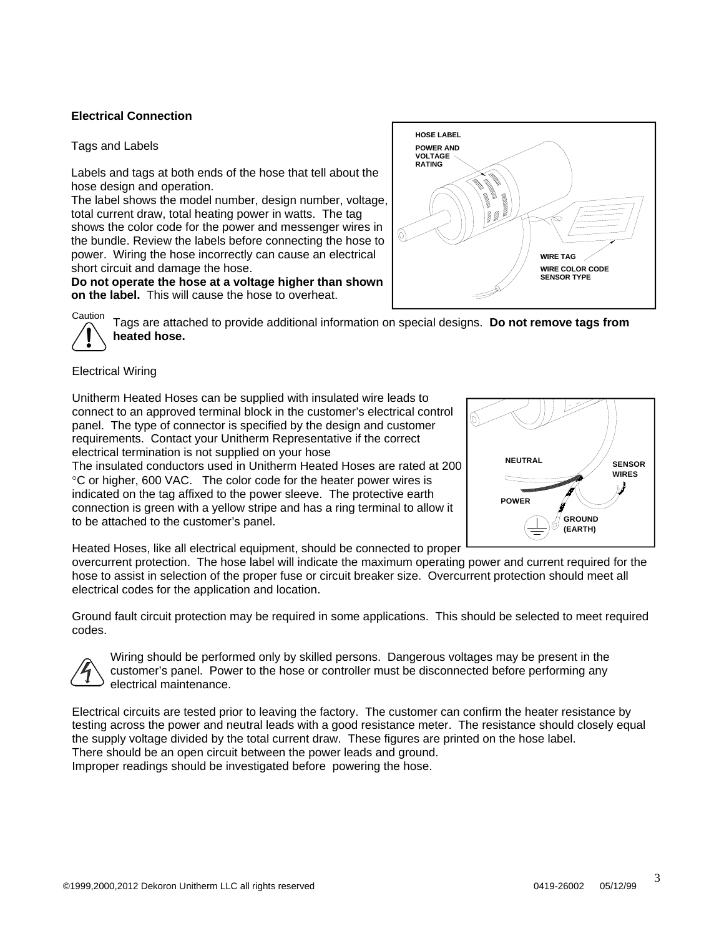#### **Electrical Connection**

#### Tags and Labels

Labels and tags at both ends of the hose that tell about the hose design and operation.

The label shows the model number, design number, voltage, total current draw, total heating power in watts. The tag shows the color code for the power and messenger wires in the bundle. Review the labels before connecting the hose to power. Wiring the hose incorrectly can cause an electrical short circuit and damage the hose.

**Do not operate the hose at a voltage higher than shown on the label.** This will cause the hose to overheat.

Tags are attached to provide additional information on special designs. **Do not remove tags from heated hose. Caution** 

#### Electrical Wiring

Unitherm Heated Hoses can be supplied with insulated wire leads to connect to an approved terminal block in the customer's electrical control panel. The type of connector is specified by the design and customer requirements. Contact your Unitherm Representative if the correct electrical termination is not supplied on your hose The insulated conductors used in Unitherm Heated Hoses are rated at 200

C or higher, 600 VAC. The color code for the heater power wires is indicated on the tag affixed to the power sleeve. The protective earth connection is green with a yellow stripe and has a ring terminal to allow it to be attached to the customer's panel.



Heated Hoses, like all electrical equipment, should be connected to proper

overcurrent protection. The hose label will indicate the maximum operating power and current required for the hose to assist in selection of the proper fuse or circuit breaker size. Overcurrent protection should meet all electrical codes for the application and location.

Ground fault circuit protection may be required in some applications. This should be selected to meet required codes.



Wiring should be performed only by skilled persons. Dangerous voltages may be present in the customer's panel. Power to the hose or controller must be disconnected before performing any electrical maintenance.

Electrical circuits are tested prior to leaving the factory. The customer can confirm the heater resistance by testing across the power and neutral leads with a good resistance meter. The resistance should closely equal the supply voltage divided by the total current draw. These figures are printed on the hose label. There should be an open circuit between the power leads and ground. Improper readings should be investigated before powering the hose.

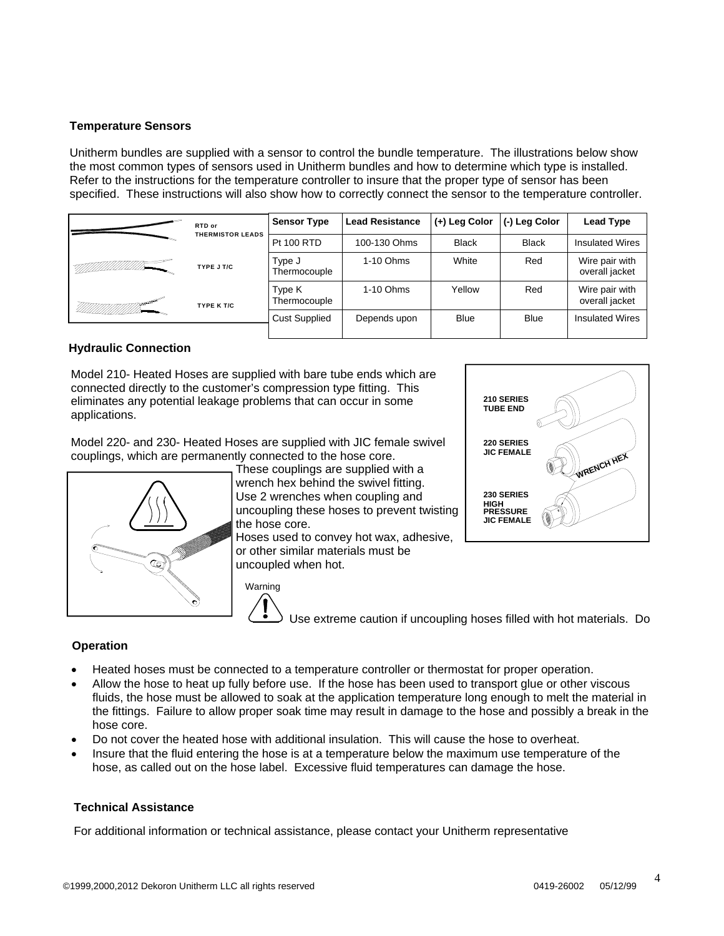#### **Temperature Sensors**

Unitherm bundles are supplied with a sensor to control the bundle temperature. The illustrations below show the most common types of sensors used in Unitherm bundles and how to determine which type is installed. Refer to the instructions for the temperature controller to insure that the proper type of sensor has been specified. These instructions will also show how to correctly connect the sensor to the temperature controller.

| RTD or<br><b>THERMISTOR LEADS</b> | <b>Sensor Type</b>     | <b>Lead Resistance</b> | (+) Leg Color | (-) Leg Color | <b>Lead Type</b>                 |
|-----------------------------------|------------------------|------------------------|---------------|---------------|----------------------------------|
|                                   | <b>Pt 100 RTD</b>      | 100-130 Ohms           | <b>Black</b>  | <b>Black</b>  | <b>Insulated Wires</b>           |
| TYPE J T/C                        | Type J<br>Thermocouple | $1-10$ Ohms            | White         | Red           | Wire pair with<br>overall jacket |
| TYPE K T/C                        | Type K<br>Thermocouple | $1-10$ Ohms            | Yellow        | Red           | Wire pair with<br>overall jacket |
|                                   | <b>Cust Supplied</b>   | Depends upon           | <b>Blue</b>   | <b>Blue</b>   | <b>Insulated Wires</b>           |

#### **Hydraulic Connection**

Model 210- Heated Hoses are supplied with bare tube ends which are connected directly to the customer's compression type fitting. This eliminates any potential leakage problems that can occur in some applications.

Model 220- and 230- Heated Hoses are supplied with JIC female swivel couplings, which are permanently connected to the hose core.



These couplings are supplied with a wrench hex behind the swivel fitting. Use 2 wrenches when coupling and uncoupling these hoses to prevent twisting the hose core.

Hoses used to convey hot wax, adhesive, or other similar materials must be uncoupled when hot.



Use extreme caution if uncoupling hoses filled with hot materials. Do

#### **Operation**

- Heated hoses must be connected to a temperature controller or thermostat for proper operation.
- Allow the hose to heat up fully before use. If the hose has been used to transport glue or other viscous fluids, the hose must be allowed to soak at the application temperature long enough to melt the material in the fittings. Failure to allow proper soak time may result in damage to the hose and possibly a break in the hose core.
- Do not cover the heated hose with additional insulation. This will cause the hose to overheat.
- Insure that the fluid entering the hose is at a temperature below the maximum use temperature of the hose, as called out on the hose label. Excessive fluid temperatures can damage the hose.

#### **Technical Assistance**

For additional information or technical assistance, please contact your Unitherm representative

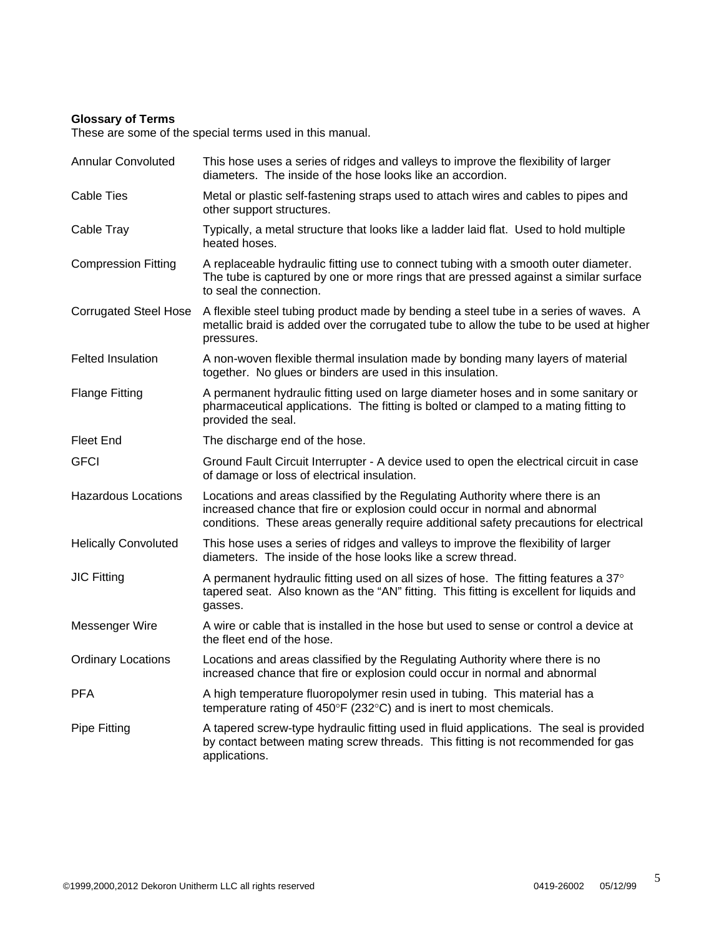#### **Glossary of Terms**

These are some of the special terms used in this manual.

Annular Convoluted This hose uses a series of ridges and valleys to improve the flexibility of larger diameters. The inside of the hose looks like an accordion. Cable Ties Metal or plastic self-fastening straps used to attach wires and cables to pipes and other support structures. Cable Tray Typically, a metal structure that looks like a ladder laid flat. Used to hold multiple heated hoses. Compression Fitting A replaceable hydraulic fitting use to connect tubing with a smooth outer diameter. The tube is captured by one or more rings that are pressed against a similar surface to seal the connection. Corrugated Steel Hose A flexible steel tubing product made by bending a steel tube in a series of waves. A metallic braid is added over the corrugated tube to allow the tube to be used at higher pressures. Felted Insulation **A** non-woven flexible thermal insulation made by bonding many layers of material together. No glues or binders are used in this insulation. Flange Fitting A permanent hydraulic fitting used on large diameter hoses and in some sanitary or pharmaceutical applications. The fitting is bolted or clamped to a mating fitting to provided the seal. Fleet End The discharge end of the hose. GFCI Ground Fault Circuit Interrupter - A device used to open the electrical circuit in case of damage or loss of electrical insulation. Hazardous Locations Locations and areas classified by the Regulating Authority where there is an increased chance that fire or explosion could occur in normal and abnormal conditions. These areas generally require additional safety precautions for electrical Helically Convoluted This hose uses a series of ridges and valleys to improve the flexibility of larger diameters. The inside of the hose looks like a screw thread. JIC Fitting  $\blacksquare$  A permanent hydraulic fitting used on all sizes of hose. The fitting features a 37° tapered seat. Also known as the "AN" fitting. This fitting is excellent for liquids and gasses. Messenger Wire A wire or cable that is installed in the hose but used to sense or control a device at the fleet end of the hose. Ordinary Locations Locations and areas classified by the Regulating Authority where there is no increased chance that fire or explosion could occur in normal and abnormal PFA A high temperature fluoropolymer resin used in tubing. This material has a temperature rating of  $450^{\circ}F(232^{\circ}C)$  and is inert to most chemicals. Pipe Fitting A tapered screw-type hydraulic fitting used in fluid applications. The seal is provided by contact between mating screw threads. This fitting is not recommended for gas applications.